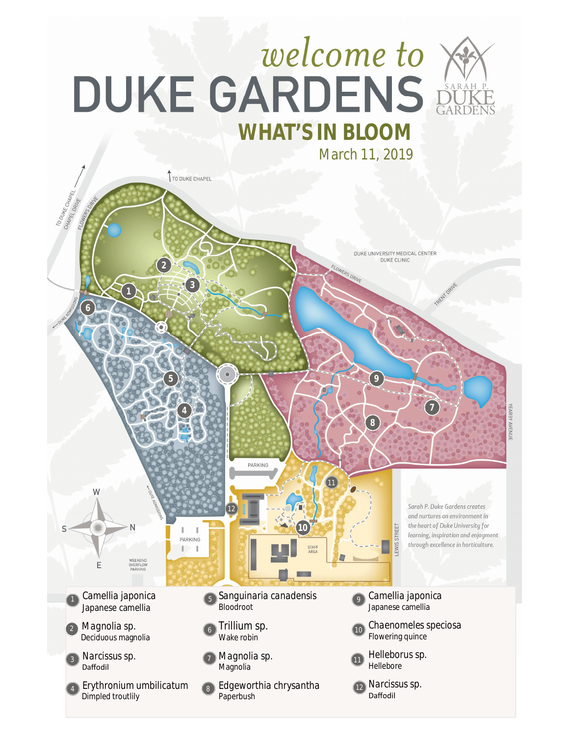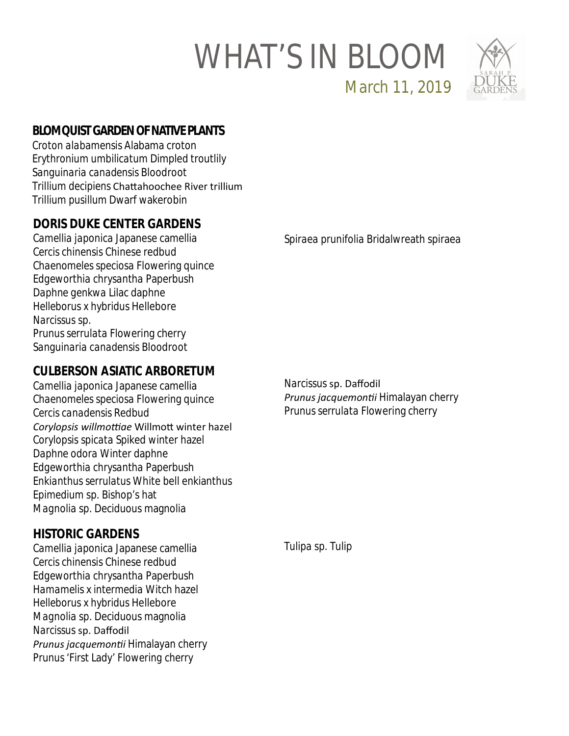## WHAT'S IN BLOOM



**BLOMQUIST GARDEN OF NATIVE PLANTS**

*Croton alabamensis* Alabama croton *Erythronium umbilicatum* Dimpled troutlily *Sanguinaria canadensis* Bloodroot *Trillium decipiens* ChaƩahoochee River trillium *Trillium pusillum* Dwarf wakerobin

## **DORIS DUKE CENTER GARDENS**

*Camellia japonica* Japanese camellia *Cercis chinensis* Chinese redbud *Chaenomeles speciosa* Flowering quince *Edgeworthia chrysantha* Paperbush *Daphne genkwa* Lilac daphne *Helleborus x hybridus* Hellebore *Narcissus* sp. *Prunus serrulata* Flowering cherry *Sanguinaria canadensis* Bloodroot

### **CULBERSON ASIATIC ARBORETUM**

*Camellia japonica* Japanese camellia *Chaenomeles speciosa* Flowering quince *Cercis canadensis* Redbud Corylopsis willmottiae Willmott winter hazel *Corylopsis spicata* Spiked winter hazel *Daphne odora* Winter daphne *Edgeworthia chrysantha* Paperbush *Enkianthus serrulatus* White bell enkianthus *Epimedium* sp. Bishop's hat *Magnolia* sp. Deciduous magnolia

## **HISTORIC GARDENS**

*Camellia japonica* Japanese camellia *Cercis chinensis* Chinese redbud *Edgeworthia chrysantha* Paperbush *Hamamelis* x *intermedia* Witch hazel *Helleborus* x *hybridus* Hellebore *Magnolia* sp. Deciduous magnolia *Narcissus* sp. Daffodil *Prunus jacquemonƟi* Himalayan cherry *Prunus '*First Lady' *Flowering cherry*

*Spiraea prunifolia* Bridalwreath spiraea

March 11, 2019

*Narcissus* sp. Daffodil *Prunus jacquemonƟi* Himalayan cherry *Prunus serrulata* Flowering cherry

*Tulipa* sp. Tulip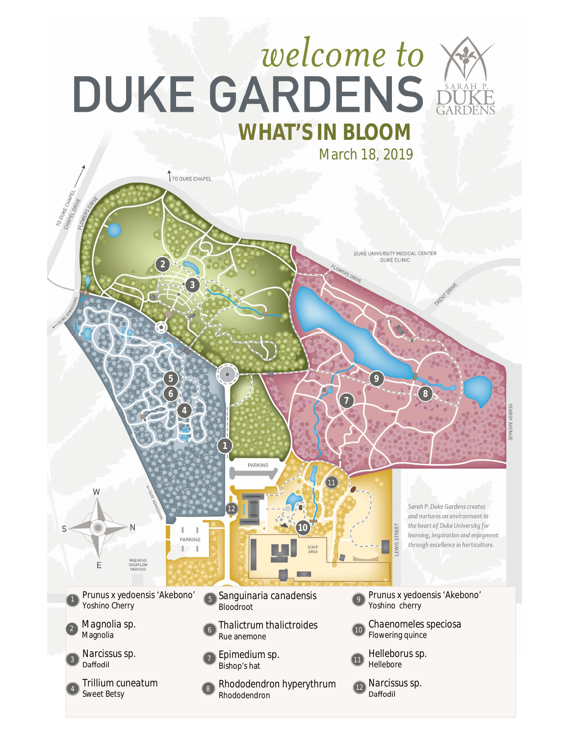